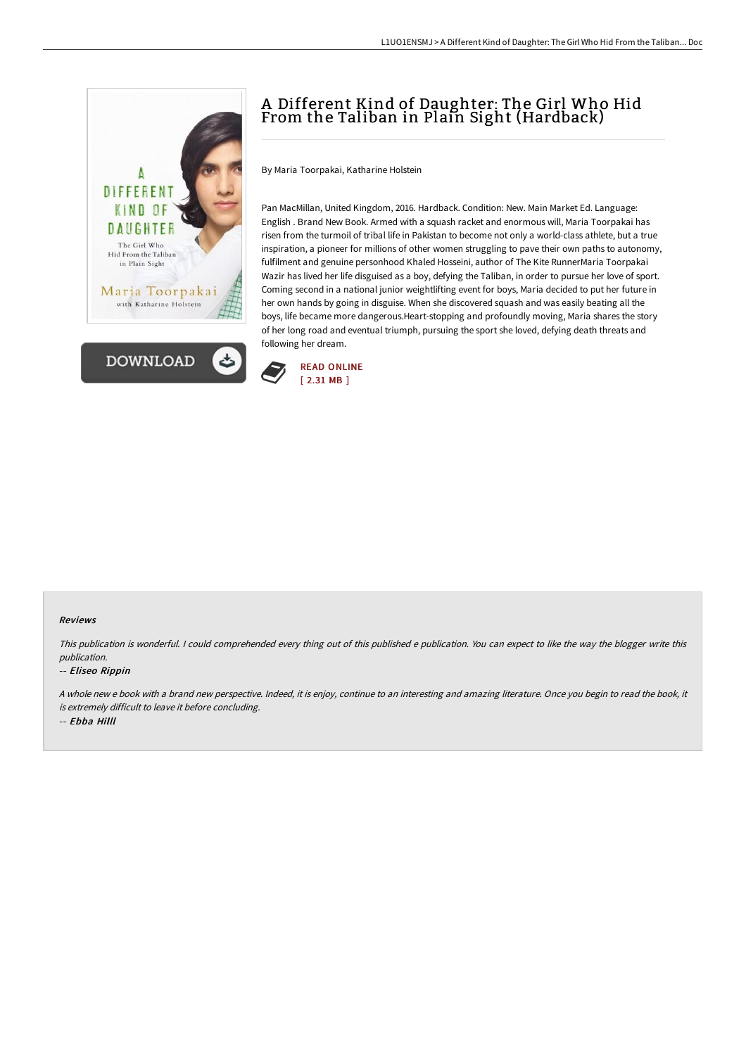



# A Different Kind of Daughter: The Girl Who Hid From the Taliban in Plain Sight (Hardback)

By Maria Toorpakai, Katharine Holstein

Pan MacMillan, United Kingdom, 2016. Hardback. Condition: New. Main Market Ed. Language: English . Brand New Book. Armed with a squash racket and enormous will, Maria Toorpakai has risen from the turmoil of tribal life in Pakistan to become not only a world-class athlete, but a true inspiration, a pioneer for millions of other women struggling to pave their own paths to autonomy, fulfilment and genuine personhood Khaled Hosseini, author of The Kite RunnerMaria Toorpakai Wazir has lived her life disguised as a boy, defying the Taliban, in order to pursue her love of sport. Coming second in a national junior weightlifting event for boys, Maria decided to put her future in her own hands by going in disguise. When she discovered squash and was easily beating all the boys, life became more dangerous.Heart-stopping and profoundly moving, Maria shares the story of her long road and eventual triumph, pursuing the sport she loved, defying death threats and following her dream.



#### Reviews

This publication is wonderful. <sup>I</sup> could comprehended every thing out of this published <sup>e</sup> publication. You can expect to like the way the blogger write this publication.

#### -- Eliseo Rippin

A whole new <sup>e</sup> book with <sup>a</sup> brand new perspective. Indeed, it is enjoy, continue to an interesting and amazing literature. Once you begin to read the book, it is extremely difficult to leave it before concluding.

-- Ebba Hilll